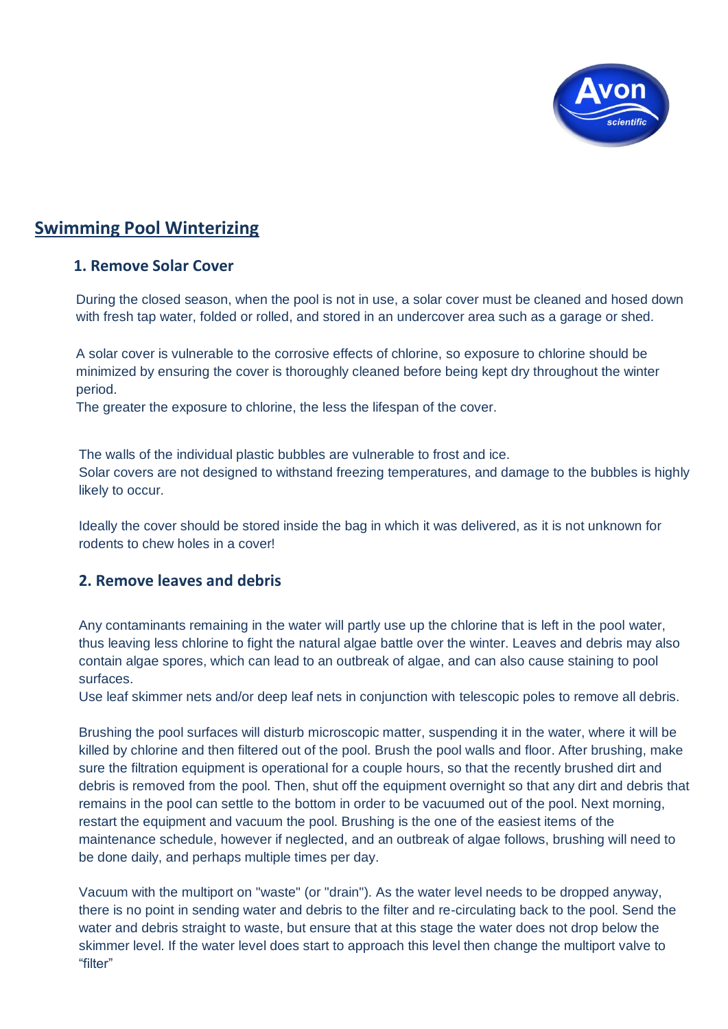

# **Swimming Pool Winterizing**

### **1. Remove Solar Cover**

During the closed season, when the pool is not in use, a solar cover must be cleaned and hosed down with fresh tap water, folded or rolled, and stored in an undercover area such as a garage or shed.

A solar cover is vulnerable to the corrosive effects of chlorine, so exposure to chlorine should be minimized by ensuring the cover is thoroughly cleaned before being kept dry throughout the winter period.

The greater the exposure to chlorine, the less the lifespan of the cover.

The walls of the individual plastic bubbles are vulnerable to frost and ice. Solar covers are not designed to withstand freezing temperatures, and damage to the bubbles is highly likely to occur.

Ideally the cover should be stored inside the bag in which it was delivered, as it is not unknown for rodents to chew holes in a cover!

## **2. Remove leaves and debris**

Any contaminants remaining in the water will partly use up the chlorine that is left in the pool water, thus leaving less chlorine to fight the natural algae battle over the winter. Leaves and debris may also contain algae spores, which can lead to an outbreak of algae, and can also cause staining to pool surfaces.

Use leaf skimmer nets and/or deep leaf nets in conjunction with telescopic poles to remove all debris.

Brushing the pool surfaces will disturb microscopic matter, suspending it in the water, where it will be killed by chlorine and then filtered out of the pool. Brush the pool walls and floor. After brushing, make sure the filtration equipment is operational for a couple hours, so that the recently brushed dirt and debris is removed from the pool. Then, shut off the equipment overnight so that any dirt and debris that remains in the pool can settle to the bottom in order to be vacuumed out of the pool. Next morning, restart the equipment and vacuum the pool. Brushing is the one of the easiest items of the maintenance schedule, however if neglected, and an outbreak of algae follows, brushing will need to be done daily, and perhaps multiple times per day.

Vacuum with the multiport on "waste" (or "drain"). As the water level needs to be dropped anyway, there is no point in sending water and debris to the filter and re-circulating back to the pool. Send the water and debris straight to waste, but ensure that at this stage the water does not drop below the skimmer level. If the water level does start to approach this level then change the multiport valve to "filter"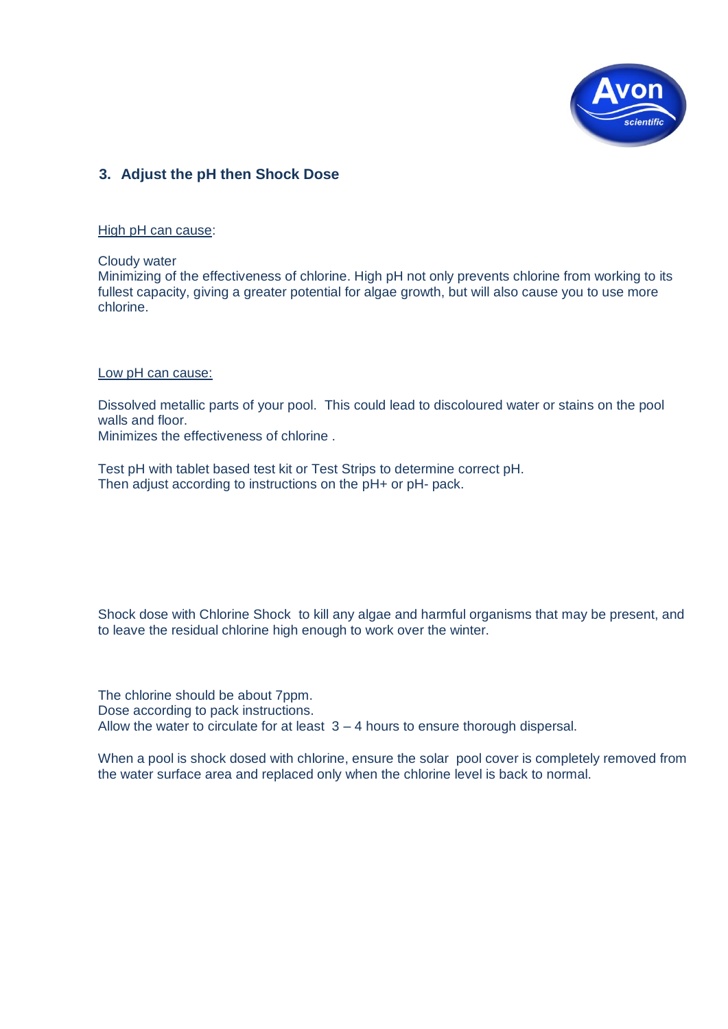

### **3. Adjust the pH then Shock Dose**

High pH can cause:

Cloudy water

Minimizing of the effectiveness of chlorine. High pH not only prevents chlorine from working to its fullest capacity, giving a greater potential for algae growth, but will also cause you to use more chlorine.

#### Low pH can cause:

Dissolved metallic parts of your pool. This could lead to discoloured water or stains on the pool walls and floor.

Minimizes the effectiveness of chlorine .

Test pH with tablet based test kit or Test Strips to determine correct pH. Then adjust according to instructions on the pH+ or pH- pack.

Shock dose with Chlorine Shock to kill any algae and harmful organisms that may be present, and to leave the residual chlorine high enough to work over the winter.

The chlorine should be about 7ppm. Dose according to pack instructions. Allow the water to circulate for at least  $3 - 4$  hours to ensure thorough dispersal.

When a pool is shock dosed with chlorine, ensure the solar pool cover is completely removed from the water surface area and replaced only when the chlorine level is back to normal.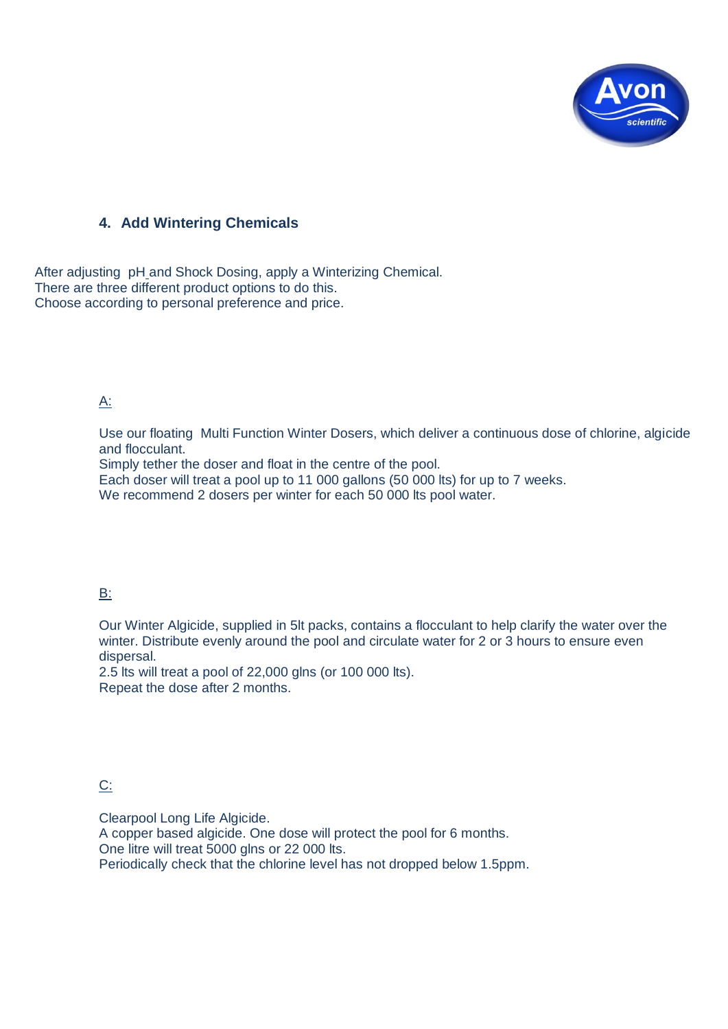

### **4. Add Wintering Chemicals**

After adjusting pH and Shock Dosing, apply a Winterizing Chemical. There are three different product options to do this. Choose according to personal preference and price.

### A:

Use our floating Multi Function Winter Dosers, which deliver a continuous dose of chlorine, algicide and flocculant.

Simply tether the doser and float in the centre of the pool.

Each doser will treat a pool up to 11 000 gallons (50 000 lts) for up to 7 weeks.

We recommend 2 dosers per winter for each 50 000 lts pool water.

#### B:

Our Winter Algicide, supplied in 5lt packs, contains a flocculant to help clarify the water over the winter. Distribute evenly around the pool and circulate water for 2 or 3 hours to ensure even dispersal.

2.5 lts will treat a pool of 22,000 glns (or 100 000 lts). Repeat the dose after 2 months.

### C:

Clearpool Long Life Algicide. A copper based algicide. One dose will protect the pool for 6 months. One litre will treat 5000 glns or 22 000 lts. Periodically check that the chlorine level has not dropped below 1.5ppm.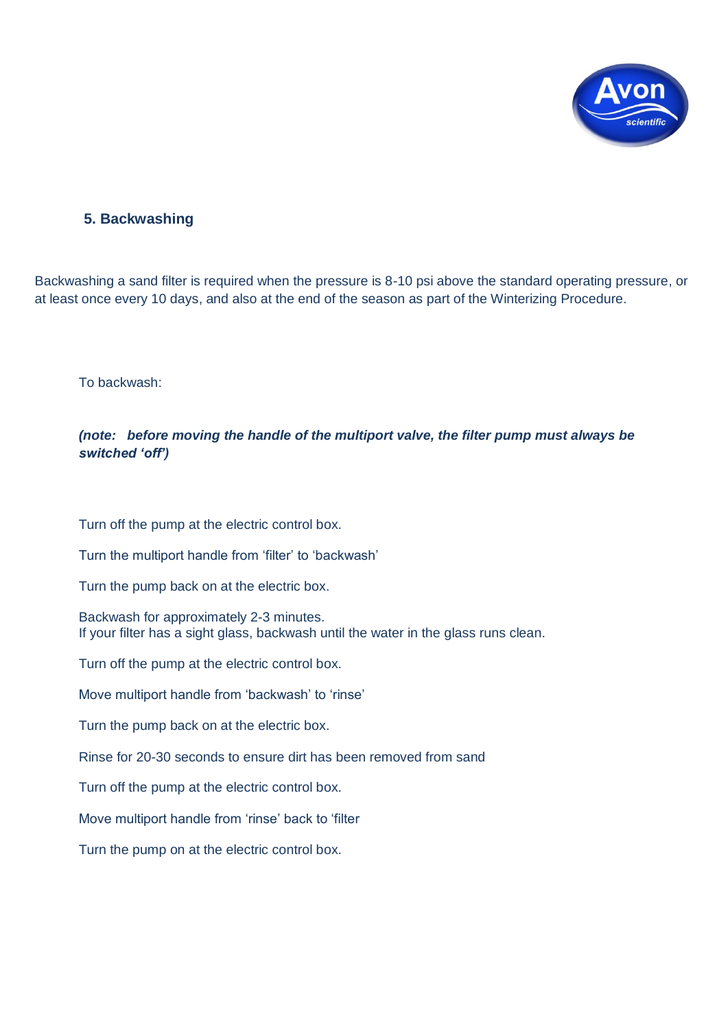

### **5. Backwashing**

Backwashing a sand filter is required when the pressure is 8-10 psi above the standard operating pressure, or at least once every 10 days, and also at the end of the season as part of the Winterizing Procedure.

To backwash:

#### *(note: before moving the handle of the multiport valve, the filter pump must always be switched 'off')*

Turn off the pump at the electric control box.

Turn the multiport handle from "filter" to "backwash"

Turn the pump back on at the electric box.

Backwash for approximately 2-3 minutes. If your filter has a sight glass, backwash until the water in the glass runs clean.

Turn off the pump at the electric control box.

Move multiport handle from 'backwash' to 'rinse'

Turn the pump back on at the electric box.

Rinse for 20-30 seconds to ensure dirt has been removed from sand

Turn off the pump at the electric control box.

Move multiport handle from 'rinse' back to 'filter

Turn the pump on at the electric control box.